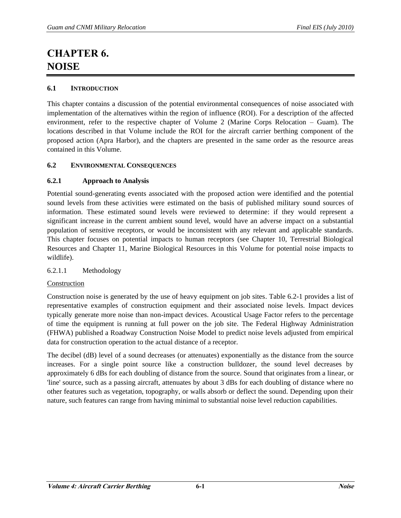# **CHAPTER 6. NOISE**

# **6.1 INTRODUCTION**

This chapter contains a discussion of the potential environmental consequences of noise associated with implementation of the alternatives within the region of influence (ROI). For a description of the affected environment, refer to the respective chapter of Volume 2 (Marine Corps Relocation – Guam). The locations described in that Volume include the ROI for the aircraft carrier berthing component of the proposed action (Apra Harbor), and the chapters are presented in the same order as the resource areas contained in this Volume.

# **6.2 ENVIRONMENTAL CONSEQUENCES**

# **6.2.1 Approach to Analysis**

Potential sound-generating events associated with the proposed action were identified and the potential sound levels from these activities were estimated on the basis of published military sound sources of information. These estimated sound levels were reviewed to determine: if they would represent a significant increase in the current ambient sound level, would have an adverse impact on a substantial population of sensitive receptors, or would be inconsistent with any relevant and applicable standards. This chapter focuses on potential impacts to human receptors (see Chapter 10, Terrestrial Biological Resources and Chapter 11, Marine Biological Resources in this Volume for potential noise impacts to wildlife).

# 6.2.1.1 Methodology

# Construction

Construction noise is generated by the use of heavy equipment on job sites. Table 6.2-1 provides a list of representative examples of construction equipment and their associated noise levels. Impact devices typically generate more noise than non-impact devices. Acoustical Usage Factor refers to the percentage of time the equipment is running at full power on the job site. The Federal Highway Administration (FHWA) published a Roadway Construction Noise Model to predict noise levels adjusted from empirical data for construction operation to the actual distance of a receptor.

The decibel (dB) level of a sound decreases (or attenuates) exponentially as the distance from the source increases. For a single point source like a construction bulldozer, the sound level decreases by approximately 6 dBs for each doubling of distance from the source. Sound that originates from a linear, or 'line' source, such as a passing aircraft, attenuates by about 3 dBs for each doubling of distance where no other features such as vegetation, topography, or walls absorb or deflect the sound. Depending upon their nature, such features can range from having minimal to substantial noise level reduction capabilities.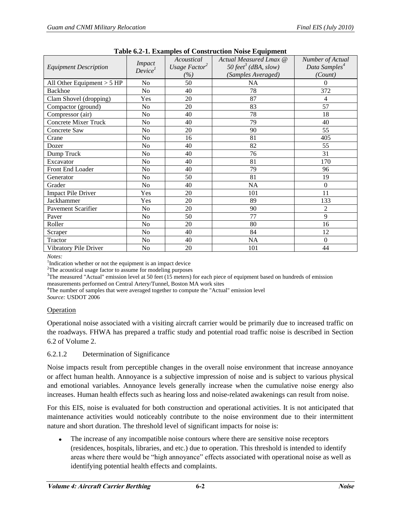| таряс 0.2-1. Елангриз от Соный испон толы Еquipment |                                      |                                                |                                                                                  |                                                          |  |
|-----------------------------------------------------|--------------------------------------|------------------------------------------------|----------------------------------------------------------------------------------|----------------------------------------------------------|--|
| <b>Equipment Description</b>                        | <b>Impact</b><br>Device <sup>1</sup> | Acoustical<br>Usage Factor <sup>2</sup><br>(%) | Actual Measured Lmax @<br>50 feet <sup>3</sup> (dBA, slow)<br>(Samples Averaged) | Number of Actual<br>Data Samples <sup>4</sup><br>(Count) |  |
| All Other Equipment $> 5$ HP                        | No                                   | 50                                             | NA                                                                               | 0                                                        |  |
| Backhoe                                             | N <sub>o</sub>                       | 40                                             | 78                                                                               | 372                                                      |  |
| Clam Shovel (dropping)                              | Yes                                  | 20                                             | 87                                                                               | 4                                                        |  |
| Compactor (ground)                                  | No                                   | 20                                             | 83                                                                               |                                                          |  |
| Compressor (air)                                    | No                                   | 40                                             | 78                                                                               | 18                                                       |  |
| <b>Concrete Mixer Truck</b>                         | No                                   | 40                                             | 79                                                                               | 40                                                       |  |
| Concrete Saw                                        | No                                   | 20                                             | 90                                                                               | 55                                                       |  |
| Crane                                               | N <sub>0</sub>                       | 16                                             | 81                                                                               | 405                                                      |  |
| Dozer                                               | No                                   | 40                                             | 82                                                                               | 55                                                       |  |
| Dump Truck                                          | No                                   | 40                                             | 76                                                                               | 31                                                       |  |
| Excavator                                           | No                                   | 40                                             | 81                                                                               | 170                                                      |  |
| Front End Loader                                    | No                                   | 40                                             | 79                                                                               | 96                                                       |  |
| Generator                                           | No                                   | 50                                             | 81                                                                               | 19                                                       |  |
| Grader                                              | No                                   | 40                                             | <b>NA</b>                                                                        | $\theta$                                                 |  |
| <b>Impact Pile Driver</b>                           | Yes                                  | 20                                             | 101                                                                              | 11                                                       |  |
| Jackhammer                                          | Yes                                  | 20                                             | 89                                                                               | 133                                                      |  |
| Pavement Scarifier                                  | No                                   | 20                                             | 90                                                                               | $\overline{2}$                                           |  |
| Paver                                               | No                                   | 50                                             | 77                                                                               | 9                                                        |  |
| Roller                                              | No                                   | 20                                             | 80                                                                               | 16                                                       |  |
| Scraper                                             | No                                   | 40                                             | 84                                                                               | 12                                                       |  |
| Tractor                                             | No                                   | 40                                             | NA                                                                               | $\theta$                                                 |  |
| Vibratory Pile Driver                               | No                                   | 20                                             | 101                                                                              | 44                                                       |  |

|  |  |  | Table 6.2-1. Examples of Construction Noise Equipment |  |  |
|--|--|--|-------------------------------------------------------|--|--|
|--|--|--|-------------------------------------------------------|--|--|

*Notes:*

<sup>1</sup>Indication whether or not the equipment is an impact device

<sup>2</sup>The acoustical usage factor to assume for modeling purposes

 $3$ The measured "Actual" emission level at 50 feet (15 meters) for each piece of equipment based on hundreds of emission measurements performed on Central Artery/Tunnel, Boston MA work sites

<sup>4</sup>The number of samples that were averaged together to compute the "Actual" emission level

*Source:* USDOT 2006

# Operation

Operational noise associated with a visiting aircraft carrier would be primarily due to increased traffic on the roadways. FHWA has prepared a traffic study and potential road traffic noise is described in Section 6.2 of Volume 2.

# 6.2.1.2 Determination of Significance

Noise impacts result from perceptible changes in the overall noise environment that increase annoyance or affect human health. Annoyance is a subjective impression of noise and is subject to various physical and emotional variables. Annoyance levels generally increase when the cumulative noise energy also increases. Human health effects such as hearing loss and noise-related awakenings can result from noise.

For this EIS, noise is evaluated for both construction and operational activities. It is not anticipated that maintenance activities would noticeably contribute to the noise environment due to their intermittent nature and short duration. The threshold level of significant impacts for noise is:

The increase of any incompatible noise contours where there are sensitive noise receptors (residences, hospitals, libraries, and etc.) due to operation. This threshold is intended to identify areas where there would be "high annoyance" effects associated with operational noise as well as identifying potential health effects and complaints.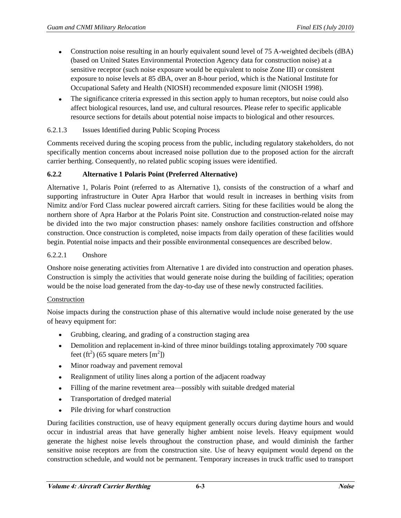- Construction noise resulting in an hourly equivalent sound level of 75 A-weighted decibels (dBA) (based on United States Environmental Protection Agency data for construction noise) at a sensitive receptor (such noise exposure would be equivalent to noise Zone III) or consistent exposure to noise levels at 85 dBA, over an 8-hour period, which is the National Institute for Occupational Safety and Health (NIOSH) recommended exposure limit (NIOSH 1998).
- The significance criteria expressed in this section apply to human receptors, but noise could also affect biological resources, land use, and cultural resources. Please refer to specific applicable resource sections for details about potential noise impacts to biological and other resources.

# 6.2.1.3 Issues Identified during Public Scoping Process

Comments received during the scoping process from the public, including regulatory stakeholders, do not specifically mention concerns about increased noise pollution due to the proposed action for the aircraft carrier berthing. Consequently, no related public scoping issues were identified.

# **6.2.2 Alternative 1 Polaris Point (Preferred Alternative)**

Alternative 1, Polaris Point (referred to as Alternative 1), consists of the construction of a wharf and supporting infrastructure in Outer Apra Harbor that would result in increases in berthing visits from Nimitz and/or Ford Class nuclear powered aircraft carriers. Siting for these facilities would be along the northern shore of Apra Harbor at the Polaris Point site. Construction and construction-related noise may be divided into the two major construction phases: namely onshore facilities construction and offshore construction. Once construction is completed, noise impacts from daily operation of these facilities would begin. Potential noise impacts and their possible environmental consequences are described below.

# 6.2.2.1 Onshore

Onshore noise generating activities from Alternative 1 are divided into construction and operation phases. Construction is simply the activities that would generate noise during the building of facilities; operation would be the noise load generated from the day-to-day use of these newly constructed facilities.

## Construction

Noise impacts during the construction phase of this alternative would include noise generated by the use of heavy equipment for:

- Grubbing, clearing, and grading of a construction staging area
- $\bullet$ Demolition and replacement in-kind of three minor buildings totaling approximately 700 square feet (ft<sup>2</sup>) (65 square meters  $[m^2]$ )
- Minor roadway and pavement removal
- $\bullet$ Realignment of utility lines along a portion of the adjacent roadway
- Filling of the marine revetment area—possibly with suitable dredged material
- $\bullet$ Transportation of dredged material
- Pile driving for wharf construction

During facilities construction, use of heavy equipment generally occurs during daytime hours and would occur in industrial areas that have generally higher ambient noise levels. Heavy equipment would generate the highest noise levels throughout the construction phase, and would diminish the farther sensitive noise receptors are from the construction site. Use of heavy equipment would depend on the construction schedule, and would not be permanent. Temporary increases in truck traffic used to transport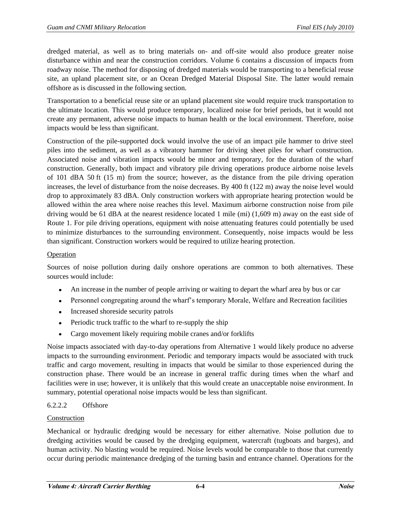dredged material, as well as to bring materials on- and off-site would also produce greater noise disturbance within and near the construction corridors. Volume 6 contains a discussion of impacts from roadway noise. The method for disposing of dredged materials would be transporting to a beneficial reuse site, an upland placement site, or an Ocean Dredged Material Disposal Site. The latter would remain offshore as is discussed in the following section.

Transportation to a beneficial reuse site or an upland placement site would require truck transportation to the ultimate location. This would produce temporary, localized noise for brief periods, but it would not create any permanent, adverse noise impacts to human health or the local environment. Therefore, noise impacts would be less than significant.

Construction of the pile-supported dock would involve the use of an impact pile hammer to drive steel piles into the sediment, as well as a vibratory hammer for driving sheet piles for wharf construction. Associated noise and vibration impacts would be minor and temporary, for the duration of the wharf construction. Generally, both impact and vibratory pile driving operations produce airborne noise levels of 101 dBA 50 ft (15 m) from the source; however, as the distance from the pile driving operation increases, the level of disturbance from the noise decreases. By 400 ft (122 m) away the noise level would drop to approximately 83 dBA. Only construction workers with appropriate hearing protection would be allowed within the area where noise reaches this level. Maximum airborne construction noise from pile driving would be 61 dBA at the nearest residence located 1 mile (mi) (1,609 m) away on the east side of Route 1. For pile driving operations, equipment with noise attenuating features could potentially be used to minimize disturbances to the surrounding environment. Consequently, noise impacts would be less than significant. Construction workers would be required to utilize hearing protection.

# Operation

Sources of noise pollution during daily onshore operations are common to both alternatives. These sources would include:

- An increase in the number of people arriving or waiting to depart the wharf area by bus or car
- Personnel congregating around the wharf's temporary Morale, Welfare and Recreation facilities
- Increased shoreside security patrols
- Periodic truck traffic to the wharf to re-supply the ship  $\bullet$
- $\bullet$ Cargo movement likely requiring mobile cranes and/or forklifts

Noise impacts associated with day-to-day operations from Alternative 1 would likely produce no adverse impacts to the surrounding environment. Periodic and temporary impacts would be associated with truck traffic and cargo movement, resulting in impacts that would be similar to those experienced during the construction phase. There would be an increase in general traffic during times when the wharf and facilities were in use; however, it is unlikely that this would create an unacceptable noise environment. In summary, potential operational noise impacts would be less than significant.

# 6.2.2.2 Offshore

# Construction

Mechanical or hydraulic dredging would be necessary for either alternative. Noise pollution due to dredging activities would be caused by the dredging equipment, watercraft (tugboats and barges), and human activity. No blasting would be required. Noise levels would be comparable to those that currently occur during periodic maintenance dredging of the turning basin and entrance channel. Operations for the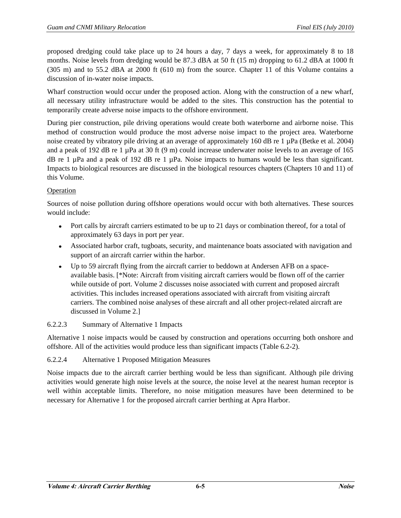proposed dredging could take place up to 24 hours a day, 7 days a week, for approximately 8 to 18 months. Noise levels from dredging would be 87.3 dBA at 50 ft (15 m) dropping to 61.2 dBA at 1000 ft (305 m) and to 55.2 dBA at 2000 ft (610 m) from the source. Chapter 11 of this Volume contains a discussion of in-water noise impacts.

Wharf construction would occur under the proposed action. Along with the construction of a new wharf, all necessary utility infrastructure would be added to the sites. This construction has the potential to temporarily create adverse noise impacts to the offshore environment.

During pier construction, pile driving operations would create both waterborne and airborne noise. This method of construction would produce the most adverse noise impact to the project area. Waterborne noise created by vibratory pile driving at an average of approximately 160 dB re 1 µPa (Betke et al. 2004) and a peak of 192 dB re 1 µPa at 30 ft (9 m) could increase underwater noise levels to an average of 165 dB re 1  $\mu$ Pa and a peak of 192 dB re 1  $\mu$ Pa. Noise impacts to humans would be less than significant. Impacts to biological resources are discussed in the biological resources chapters (Chapters 10 and 11) of this Volume.

# Operation

Sources of noise pollution during offshore operations would occur with both alternatives. These sources would include:

- Port calls by aircraft carriers estimated to be up to 21 days or combination thereof, for a total of approximately 63 days in port per year.
- Associated harbor craft, tugboats, security, and maintenance boats associated with navigation and support of an aircraft carrier within the harbor.
- Up to 59 aircraft flying from the aircraft carrier to beddown at Andersen AFB on a space- $\bullet$ available basis. [\*Note: Aircraft from visiting aircraft carriers would be flown off of the carrier while outside of port. Volume 2 discusses noise associated with current and proposed aircraft activities. This includes increased operations associated with aircraft from visiting aircraft carriers. The combined noise analyses of these aircraft and all other project-related aircraft are discussed in Volume 2.]

# 6.2.2.3 Summary of Alternative 1 Impacts

Alternative 1 noise impacts would be caused by construction and operations occurring both onshore and offshore. All of the activities would produce less than significant impacts (Table 6.2-2).

# 6.2.2.4 Alternative 1 Proposed Mitigation Measures

Noise impacts due to the aircraft carrier berthing would be less than significant. Although pile driving activities would generate high noise levels at the source, the noise level at the nearest human receptor is well within acceptable limits. Therefore, no noise mitigation measures have been determined to be necessary for Alternative 1 for the proposed aircraft carrier berthing at Apra Harbor.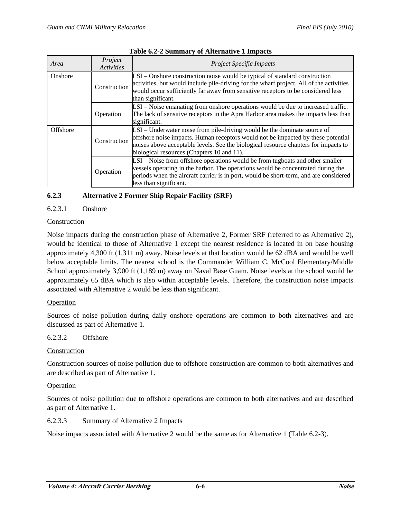| Area      | Project<br><b>Activities</b> | <b>Project Specific Impacts</b>                                                                                                                                                                                                                                                                   |
|-----------|------------------------------|---------------------------------------------------------------------------------------------------------------------------------------------------------------------------------------------------------------------------------------------------------------------------------------------------|
| Onshore   | Construction                 | LSI - Onshore construction noise would be typical of standard construction<br>activities, but would include pile-driving for the wharf project. All of the activities<br>would occur sufficiently far away from sensitive receptors to be considered less<br>than significant.                    |
|           | Operation                    | LSI – Noise emanating from onshore operations would be due to increased traffic.<br>The lack of sensitive receptors in the Apra Harbor area makes the impacts less than<br>significant.                                                                                                           |
| Offshore  | Construction                 | LSI – Underwater noise from pile-driving would be the dominate source of<br>offshore noise impacts. Human receptors would not be impacted by these potential<br>noises above acceptable levels. See the biological resource chapters for impacts to<br>biological resources (Chapters 10 and 11). |
| Operation |                              | LSI – Noise from offshore operations would be from tugboats and other smaller<br>vessels operating in the harbor. The operations would be concentrated during the<br>periods when the aircraft carrier is in port, would be short-term, and are considered<br>less than significant.              |

#### **Table 6.2-2 Summary of Alternative 1 Impacts**

# **6.2.3 Alternative 2 Former Ship Repair Facility (SRF)**

## 6.2.3.1 Onshore

## Construction

Noise impacts during the construction phase of Alternative 2, Former SRF (referred to as Alternative 2), would be identical to those of Alternative 1 except the nearest residence is located in on base housing approximately 4,300 ft (1,311 m) away. Noise levels at that location would be 62 dBA and would be well below acceptable limits. The nearest school is the Commander William C. McCool Elementary/Middle School approximately 3,900 ft (1,189 m) away on Naval Base Guam. Noise levels at the school would be approximately 65 dBA which is also within acceptable levels. Therefore, the construction noise impacts associated with Alternative 2 would be less than significant.

## **Operation**

Sources of noise pollution during daily onshore operations are common to both alternatives and are discussed as part of Alternative 1.

# 6.2.3.2 Offshore

## **Construction**

Construction sources of noise pollution due to offshore construction are common to both alternatives and are described as part of Alternative 1.

## Operation

Sources of noise pollution due to offshore operations are common to both alternatives and are described as part of Alternative 1.

## 6.2.3.3 Summary of Alternative 2 Impacts

Noise impacts associated with Alternative 2 would be the same as for Alternative 1 (Table 6.2-3).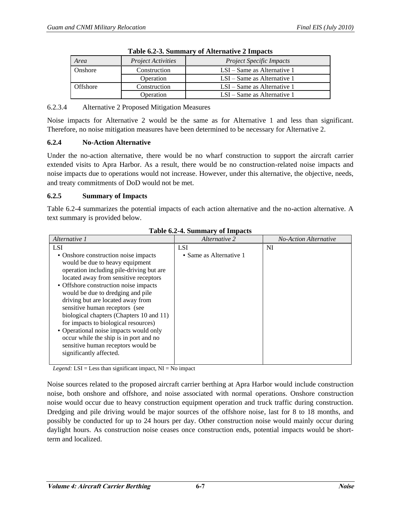| $\frac{1}{2}$ and $\frac{1}{2}$ is the contribution of $\frac{1}{2}$ and $\frac{1}{2}$ and $\frac{1}{2}$ and $\frac{1}{2}$ |                           |                                 |  |
|----------------------------------------------------------------------------------------------------------------------------|---------------------------|---------------------------------|--|
| Area                                                                                                                       | <i>Project Activities</i> | <b>Project Specific Impacts</b> |  |
| Onshore                                                                                                                    | Construction              | $LSI - Same$ as Alternative 1   |  |
|                                                                                                                            | Operation                 | $LSI - Same$ as Alternative 1   |  |
| Construction<br>Offshore                                                                                                   |                           | $LSI - Same$ as Alternative 1   |  |
|                                                                                                                            | Operation                 | $LSI - Same$ as Alternative 1   |  |

|  |  | Table 6.2-3. Summary of Alternative 2 Impacts |  |
|--|--|-----------------------------------------------|--|
|--|--|-----------------------------------------------|--|

## 6.2.3.4 Alternative 2 Proposed Mitigation Measures

Noise impacts for Alternative 2 would be the same as for Alternative 1 and less than significant. Therefore, no noise mitigation measures have been determined to be necessary for Alternative 2.

# **6.2.4 No-Action Alternative**

Under the no-action alternative, there would be no wharf construction to support the aircraft carrier extended visits to Apra Harbor. As a result, there would be no construction-related noise impacts and noise impacts due to operations would not increase. However, under this alternative, the objective, needs, and treaty commitments of DoD would not be met.

## **6.2.5 Summary of Impacts**

Table 6.2-4 summarizes the potential impacts of each action alternative and the no-action alternative. A text summary is provided below.

| Alternative 1                                                                                                                                                                                                                                                                                                                                                                                                                                                                                                                                              | Alternative 2           | <b>No-Action Alternative</b> |
|------------------------------------------------------------------------------------------------------------------------------------------------------------------------------------------------------------------------------------------------------------------------------------------------------------------------------------------------------------------------------------------------------------------------------------------------------------------------------------------------------------------------------------------------------------|-------------------------|------------------------------|
| LSI                                                                                                                                                                                                                                                                                                                                                                                                                                                                                                                                                        | <b>LSI</b>              | NI                           |
| • Onshore construction noise impacts<br>would be due to heavy equipment<br>operation including pile-driving but are<br>located away from sensitive receptors<br>• Offshore construction noise impacts<br>would be due to dredging and pile<br>driving but are located away from<br>sensitive human receptors (see<br>biological chapters (Chapters 10 and 11)<br>for impacts to biological resources)<br>• Operational noise impacts would only<br>occur while the ship is in port and no<br>sensitive human receptors would be<br>significantly affected. | • Same as Alternative 1 |                              |

**Table 6.2-4. Summary of Impacts** 

*Legend:* LSI = Less than significant impact, NI = No impact

Noise sources related to the proposed aircraft carrier berthing at Apra Harbor would include construction noise, both onshore and offshore, and noise associated with normal operations. Onshore construction noise would occur due to heavy construction equipment operation and truck traffic during construction. Dredging and pile driving would be major sources of the offshore noise, last for 8 to 18 months, and possibly be conducted for up to 24 hours per day. Other construction noise would mainly occur during daylight hours. As construction noise ceases once construction ends, potential impacts would be shortterm and localized.